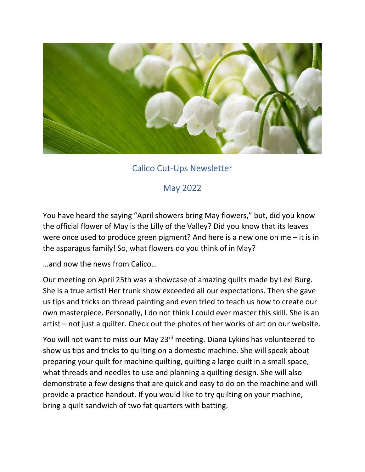

## Calico Cut-Ups Newsletter

## May 2022

You have heard the saying "April showers bring May flowers," but, did you know the official flower of May is the Lilly of the Valley? Did you know that its leaves were once used to produce green pigment? And here is a new one on me – it is in the asparagus family! So, what flowers do you think of in May?

…and now the news from Calico…

Our meeting on April 25th was a showcase of amazing quilts made by Lexi Burg. She is a true artist! Her trunk show exceeded all our expectations. Then she gave us tips and tricks on thread painting and even tried to teach us how to create our own masterpiece. Personally, I do not think I could ever master this skill. She is an artist – not just a quilter. Check out the photos of her works of art on our website.

You will not want to miss our May 23<sup>rd</sup> meeting. Diana Lykins has volunteered to show us tips and tricks to quilting on a domestic machine. She will speak about preparing your quilt for machine quilting, quilting a large quilt in a small space, what threads and needles to use and planning a quilting design. She will also demonstrate a few designs that are quick and easy to do on the machine and will provide a practice handout. If you would like to try quilting on your machine, bring a quilt sandwich of two fat quarters with batting.